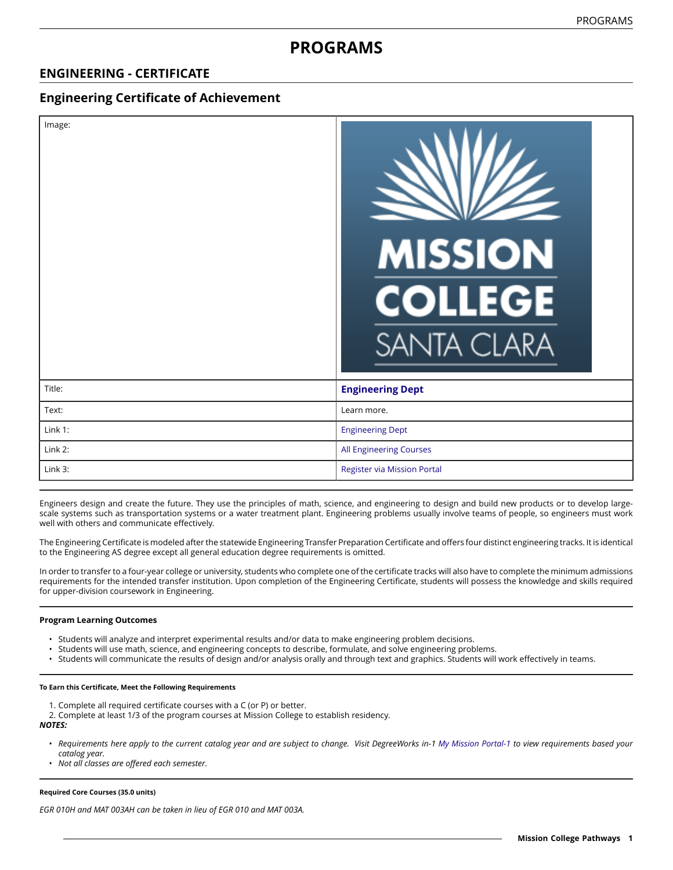# **PROGRAMS**

# **ENGINEERING - CERTIFICATE**

# **Engineering Certificate of Achievement**

| Image:  | <b>MISSION</b><br><b>COLLEGE</b><br><b>SANTA CLARA</b> |
|---------|--------------------------------------------------------|
| Title:  | <b>Engineering Dept</b>                                |
| Text:   | Learn more.                                            |
| Link 1: | <b>Engineering Dept</b>                                |
| Link 2: | All Engineering Courses                                |
| Link 3: | <b>Register via Mission Portal</b>                     |

Engineers design and create the future. They use the principles of math, science, and engineering to design and build new products or to develop largescale systems such as transportation systems or a water treatment plant. Engineering problems usually involve teams of people, so engineers must work well with others and communicate effectively.

The Engineering Certificate is modeled after the statewide Engineering Transfer Preparation Certificate and offers four distinct engineering tracks. It is identical to the Engineering AS degree except all general education degree requirements is omitted.

In order to transfer to a four-year college or university, students who complete one of the certificate tracks will also have to complete the minimum admissions requirements for the intended transfer institution. Upon completion of the Engineering Certificate, students will possess the knowledge and skills required for upper-division coursework in Engineering.

#### **Program Learning Outcomes**

- Students will analyze and interpret experimental results and/or data to make engineering problem decisions.
- Students will use math, science, and engineering concepts to describe, formulate, and solve engineering problems.
- Students will communicate the results of design and/or analysis orally and through text and graphics. Students will work effectively in teams.

#### **To Earn this Certificate, Meet the Following Requirements**

- 1. Complete all required certificate courses with a C (or P) or better.
- 2. Complete at least 1/3 of the program courses at Mission College to establish residency.

#### *NOTES:*

- Requirements here apply to the current catalog year and are subject to change. Visit DegreeWorks in-1 [My Mission Portal-1](https://wvmccd.sharepoint.com/sites/MCPortal) to view requirements based your *catalog year.*
- *Not all classes are offered each semester.*

#### **Required Core Courses (35.0 units)**

*EGR 010H and MAT 003AH can be taken in lieu of EGR 010 and MAT 003A.*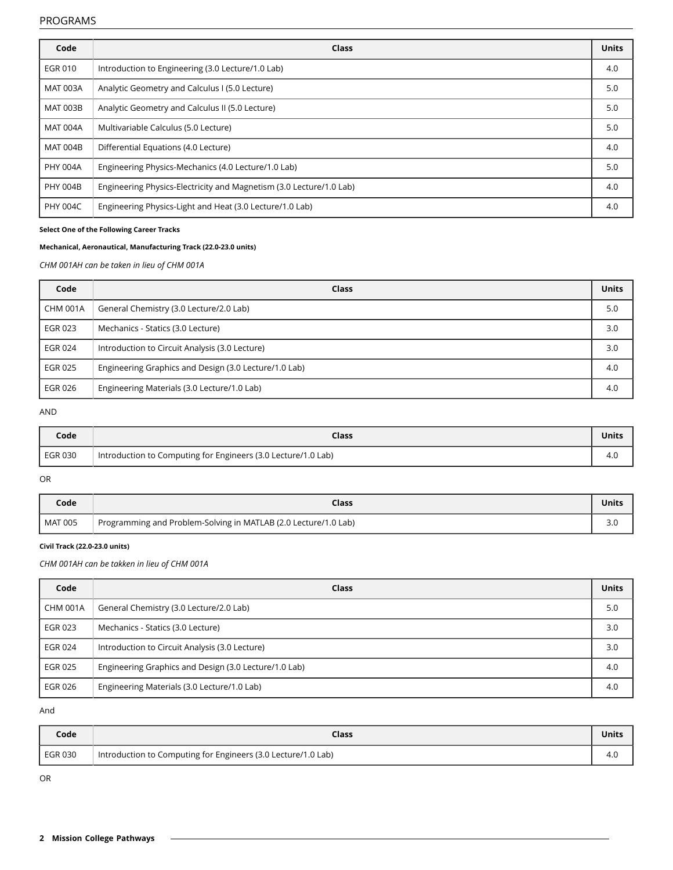#### PROGRAMS

| Code            | Class                                                               | <b>Units</b> |
|-----------------|---------------------------------------------------------------------|--------------|
| <b>EGR010</b>   | Introduction to Engineering (3.0 Lecture/1.0 Lab)                   | 4.0          |
| <b>MAT 003A</b> | Analytic Geometry and Calculus I (5.0 Lecture)                      | 5.0          |
| <b>MAT 003B</b> | Analytic Geometry and Calculus II (5.0 Lecture)                     | 5.0          |
| <b>MAT 004A</b> | Multivariable Calculus (5.0 Lecture)                                | 5.0          |
| <b>MAT 004B</b> | Differential Equations (4.0 Lecture)                                | 4.0          |
| PHY 004A        | Engineering Physics-Mechanics (4.0 Lecture/1.0 Lab)                 | 5.0          |
| <b>PHY 004B</b> | Engineering Physics-Electricity and Magnetism (3.0 Lecture/1.0 Lab) | 4.0          |
| <b>PHY 004C</b> | Engineering Physics-Light and Heat (3.0 Lecture/1.0 Lab)            | 4.0          |

## **Select One of the Following Career Tracks**

## **Mechanical, Aeronautical, Manufacturing Track (22.0-23.0 units)**

## *CHM 001AH can be taken in lieu of CHM 001A*

| Code            | Class                                                 | <b>Units</b> |
|-----------------|-------------------------------------------------------|--------------|
| <b>CHM 001A</b> | General Chemistry (3.0 Lecture/2.0 Lab)               | 5.0          |
| EGR 023         | Mechanics - Statics (3.0 Lecture)                     | 3.0          |
| <b>EGR 024</b>  | Introduction to Circuit Analysis (3.0 Lecture)        | 3.0          |
| EGR 025         | Engineering Graphics and Design (3.0 Lecture/1.0 Lab) | 4.0          |
| EGR 026         | Engineering Materials (3.0 Lecture/1.0 Lab)           | 4.0          |

#### AND

| Code    | Class                                                         | <b>Units</b> |
|---------|---------------------------------------------------------------|--------------|
| EGR 030 | Introduction to Computing for Engineers (3.0 Lecture/1.0 Lab) | 4.U          |

#### OR

| Code           | Class                                                           | Unit. |
|----------------|-----------------------------------------------------------------|-------|
| <b>MAT 005</b> | Programming and Problem-Solving in MATLAB (2.0 Lecture/1.0 Lab) |       |

#### **Civil Track (22.0-23.0 units)**

## *CHM 001AH can be takken in lieu of CHM 001A*

| Code            | Class                                                 | <b>Units</b> |
|-----------------|-------------------------------------------------------|--------------|
| <b>CHM 001A</b> | General Chemistry (3.0 Lecture/2.0 Lab)               | 5.0          |
| EGR 023         | Mechanics - Statics (3.0 Lecture)                     | 3.0          |
| <b>EGR 024</b>  | Introduction to Circuit Analysis (3.0 Lecture)        | 3.0          |
| <b>EGR 025</b>  | Engineering Graphics and Design (3.0 Lecture/1.0 Lab) | 4.0          |
| EGR 026         | Engineering Materials (3.0 Lecture/1.0 Lab)           | 4.0          |

And

| Code           | <b>Class</b>                                                  | Unit. |
|----------------|---------------------------------------------------------------|-------|
| <b>EGR 030</b> | Introduction to Computing for Engineers (3.0 Lecture/1.0 Lab) | 4.U   |

OR